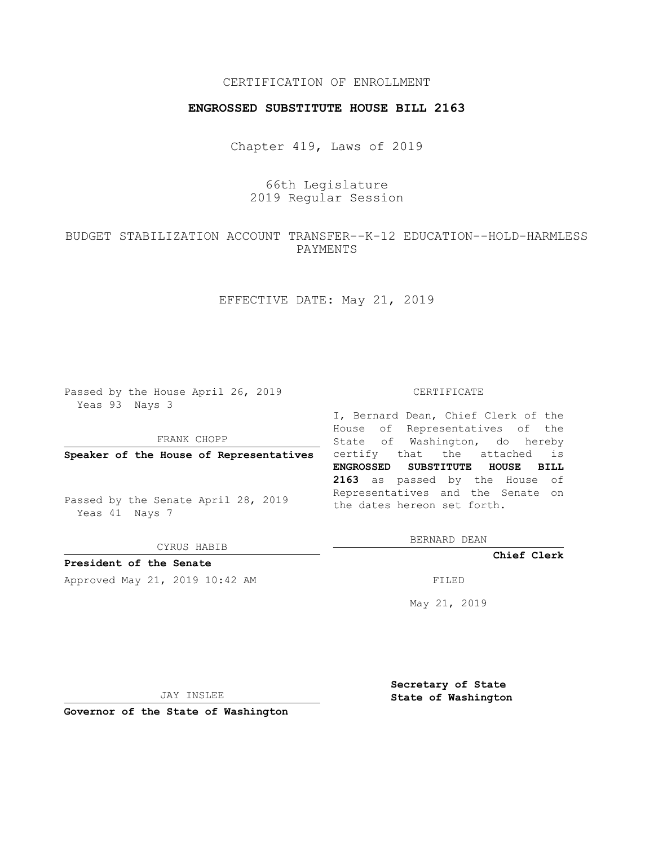## CERTIFICATION OF ENROLLMENT

## **ENGROSSED SUBSTITUTE HOUSE BILL 2163**

Chapter 419, Laws of 2019

66th Legislature 2019 Regular Session

BUDGET STABILIZATION ACCOUNT TRANSFER--K-12 EDUCATION--HOLD-HARMLESS PAYMENTS

EFFECTIVE DATE: May 21, 2019

Passed by the House April 26, 2019 Yeas 93 Nays 3

FRANK CHOPP

Passed by the Senate April 28, 2019 Yeas 41 Nays 7

CYRUS HABIB

**President of the Senate**

Approved May 21, 2019 10:42 AM FILED

## CERTIFICATE

**Speaker of the House of Representatives** certify that the attached is I, Bernard Dean, Chief Clerk of the House of Representatives of the State of Washington, do hereby **ENGROSSED SUBSTITUTE HOUSE BILL 2163** as passed by the House of Representatives and the Senate on the dates hereon set forth.

BERNARD DEAN

**Chief Clerk**

May 21, 2019

JAY INSLEE

**Governor of the State of Washington**

**Secretary of State State of Washington**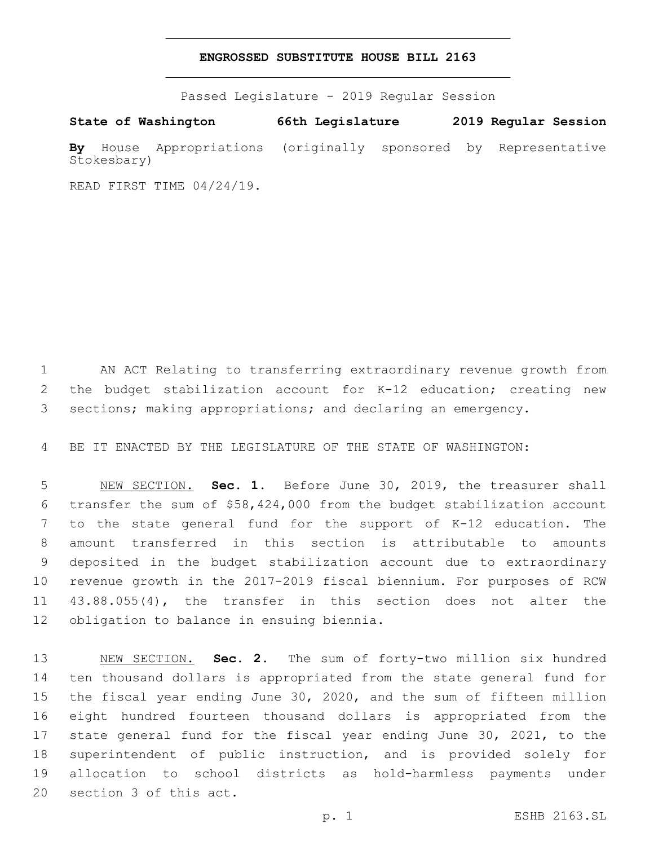## **ENGROSSED SUBSTITUTE HOUSE BILL 2163**

Passed Legislature - 2019 Regular Session

**State of Washington 66th Legislature 2019 Regular Session By** House Appropriations (originally sponsored by Representative Stokesbary)

READ FIRST TIME 04/24/19.

 AN ACT Relating to transferring extraordinary revenue growth from the budget stabilization account for K-12 education; creating new sections; making appropriations; and declaring an emergency.

BE IT ENACTED BY THE LEGISLATURE OF THE STATE OF WASHINGTON:

 NEW SECTION. **Sec. 1.** Before June 30, 2019, the treasurer shall transfer the sum of \$58,424,000 from the budget stabilization account to the state general fund for the support of K-12 education. The amount transferred in this section is attributable to amounts deposited in the budget stabilization account due to extraordinary revenue growth in the 2017-2019 fiscal biennium. For purposes of RCW 43.88.055(4), the transfer in this section does not alter the obligation to balance in ensuing biennia.

 NEW SECTION. **Sec. 2.** The sum of forty-two million six hundred ten thousand dollars is appropriated from the state general fund for the fiscal year ending June 30, 2020, and the sum of fifteen million eight hundred fourteen thousand dollars is appropriated from the state general fund for the fiscal year ending June 30, 2021, to the superintendent of public instruction, and is provided solely for allocation to school districts as hold-harmless payments under section 3 of this act.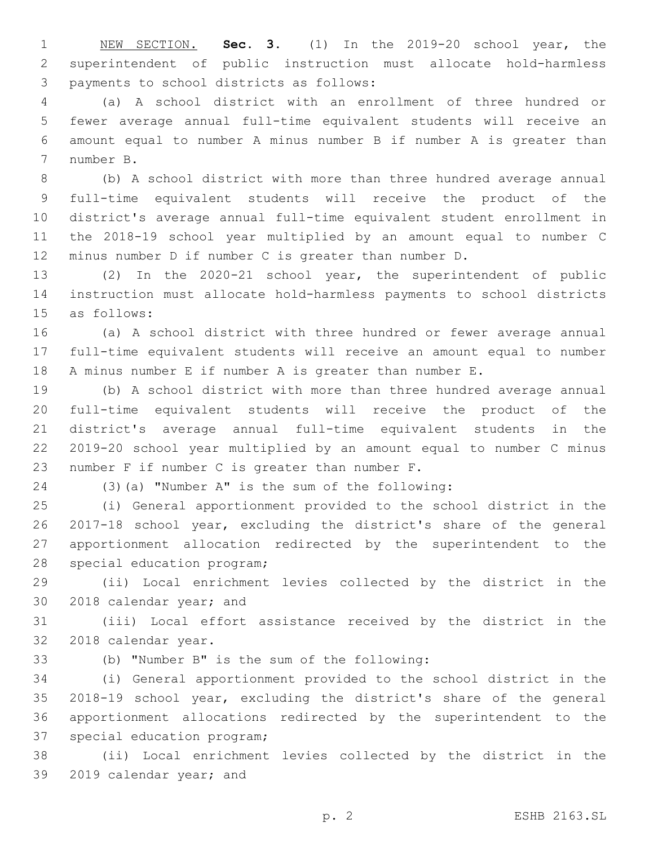NEW SECTION. **Sec. 3.** (1) In the 2019-20 school year, the superintendent of public instruction must allocate hold-harmless payments to school districts as follows:

 (a) A school district with an enrollment of three hundred or fewer average annual full-time equivalent students will receive an amount equal to number A minus number B if number A is greater than 7 number B.

 (b) A school district with more than three hundred average annual full-time equivalent students will receive the product of the district's average annual full-time equivalent student enrollment in the 2018-19 school year multiplied by an amount equal to number C minus number D if number C is greater than number D.

 (2) In the 2020-21 school year, the superintendent of public instruction must allocate hold-harmless payments to school districts 15 as follows:

 (a) A school district with three hundred or fewer average annual full-time equivalent students will receive an amount equal to number A minus number E if number A is greater than number E.

 (b) A school district with more than three hundred average annual full-time equivalent students will receive the product of the district's average annual full-time equivalent students in the 2019-20 school year multiplied by an amount equal to number C minus 23 number  $F$  if number  $C$  is greater than number  $F$ .

(3)(a) "Number A" is the sum of the following:

 (i) General apportionment provided to the school district in the 2017-18 school year, excluding the district's share of the general apportionment allocation redirected by the superintendent to the 28 special education program;

 (ii) Local enrichment levies collected by the district in the 30 2018 calendar year; and

 (iii) Local effort assistance received by the district in the 32 2018 calendar year.

(b) "Number B" is the sum of the following:33

 (i) General apportionment provided to the school district in the 2018-19 school year, excluding the district's share of the general apportionment allocations redirected by the superintendent to the 37 special education program;

 (ii) Local enrichment levies collected by the district in the 39 2019 calendar year; and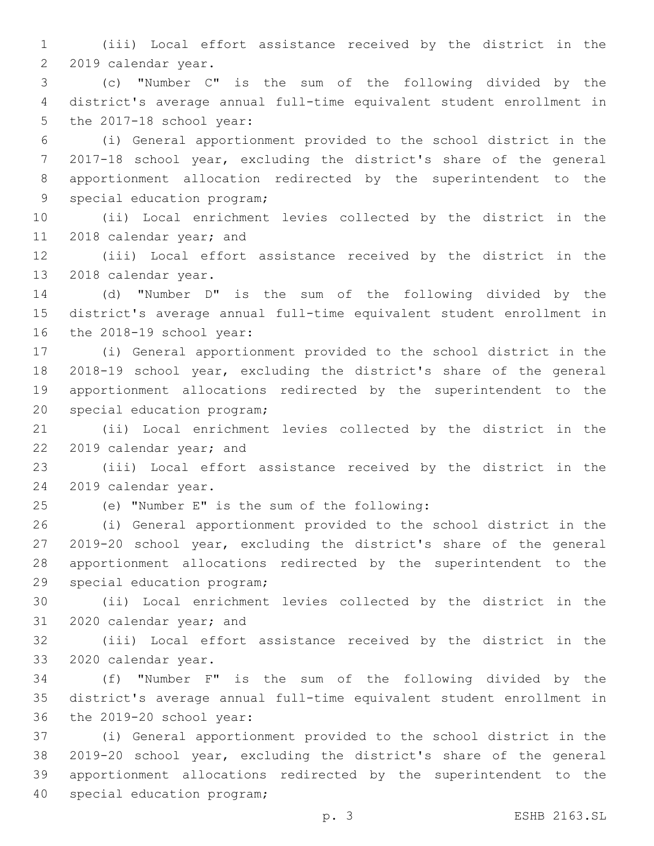(iii) Local effort assistance received by the district in the 2 2019 calendar year.

 (c) "Number C" is the sum of the following divided by the district's average annual full-time equivalent student enrollment in 5 the 2017-18 school year:

 (i) General apportionment provided to the school district in the 2017-18 school year, excluding the district's share of the general apportionment allocation redirected by the superintendent to the 9 special education program;

 (ii) Local enrichment levies collected by the district in the 11 2018 calendar year; and

 (iii) Local effort assistance received by the district in the 13 2018 calendar year.

 (d) "Number D" is the sum of the following divided by the district's average annual full-time equivalent student enrollment in 16 the 2018-19 school year:

 (i) General apportionment provided to the school district in the 2018-19 school year, excluding the district's share of the general apportionment allocations redirected by the superintendent to the 20 special education program;

 (ii) Local enrichment levies collected by the district in the 22 2019 calendar year; and

 (iii) Local effort assistance received by the district in the 24 2019 calendar year.

(e) "Number E" is the sum of the following:25

 (i) General apportionment provided to the school district in the 2019-20 school year, excluding the district's share of the general apportionment allocations redirected by the superintendent to the 29 special education program;

 (ii) Local enrichment levies collected by the district in the 31 2020 calendar year; and

 (iii) Local effort assistance received by the district in the 33 2020 calendar year.

 (f) "Number F" is the sum of the following divided by the district's average annual full-time equivalent student enrollment in 36 the 2019-20 school year:

 (i) General apportionment provided to the school district in the 2019-20 school year, excluding the district's share of the general apportionment allocations redirected by the superintendent to the 40 special education program;